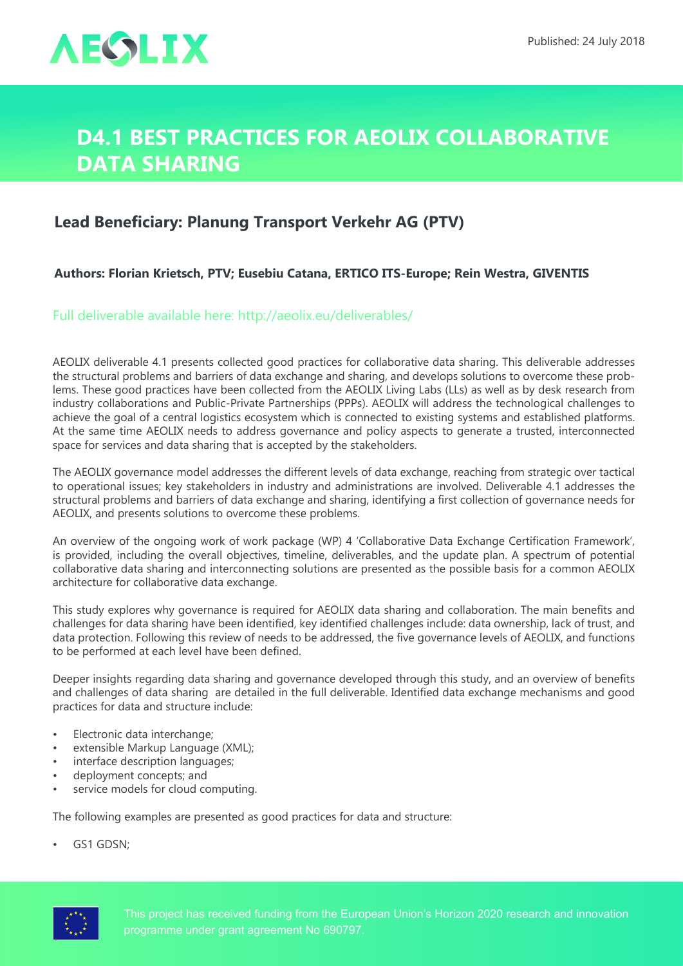

## **D4.1 Best practices for AEOLIX Collaborative Data Sharing**

## **Lead Beneficiary: Planung Transport Verkehr AG (PTV)**

## **Authors: Florian Krietsch, PTV; Eusebiu Catana, ERTICO ITS-Europe; Rein Westra, GIVENTIS**

Full deliverable available here: <http://aeolix.eu/deliverables/>

AEOLIX deliverable 4.1 presents collected good practices for collaborative data sharing. This deliverable addresses the structural problems and barriers of data exchange and sharing, and develops solutions to overcome these problems. These good practices have been collected from the AEOLIX Living Labs (LLs) as well as by desk research from industry collaborations and Public-Private Partnerships (PPPs). AEOLIX will address the technological challenges to achieve the goal of a central logistics ecosystem which is connected to existing systems and established platforms. At the same time AEOLIX needs to address governance and policy aspects to generate a trusted, interconnected space for services and data sharing that is accepted by the stakeholders.

The AEOLIX governance model addresses the different levels of data exchange, reaching from strategic over tactical to operational issues; key stakeholders in industry and administrations are involved. Deliverable 4.1 addresses the structural problems and barriers of data exchange and sharing, identifying a first collection of governance needs for AEOLIX, and presents solutions to overcome these problems.

An overview of the ongoing work of work package (WP) 4 'Collaborative Data Exchange Certification Framework', is provided, including the overall objectives, timeline, deliverables, and the update plan. A spectrum of potential collaborative data sharing and interconnecting solutions are presented as the possible basis for a common AEOLIX architecture for collaborative data exchange.

This study explores why governance is required for AEOLIX data sharing and collaboration. The main benefits and challenges for data sharing have been identified, key identified challenges include: data ownership, lack of trust, and data protection. Following this review of needs to be addressed, the five governance levels of AEOLIX, and functions to be performed at each level have been defined.

Deeper insights regarding data sharing and governance developed through this study, and an overview of benefits and challenges of data sharing are detailed in the full deliverable. Identified data exchange mechanisms and good practices for data and structure include:

- Electronic data interchange;
- extensible Markup Language (XML);
- interface description languages;
- deployment concepts; and
- service models for cloud computing.

The following examples are presented as good practices for data and structure:

• GS1 GDSN;